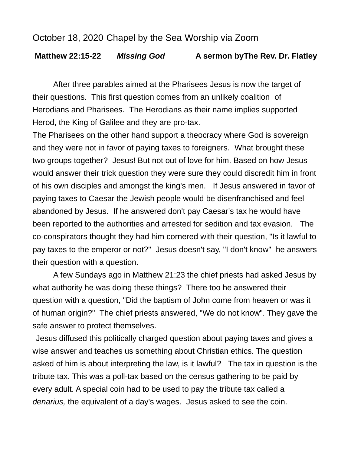## October 18, 2020 Chapel by the Sea Worship via Zoom

## **Matthew 22:15-22** *Missing God* **A sermon byThe Rev. Dr. Flatley**

After three parables aimed at the Pharisees Jesus is now the target of their questions. This first question comes from an unlikely coalition of Herodians and Pharisees. The Herodians as their name implies supported Herod, the King of Galilee and they are pro-tax.

The Pharisees on the other hand support a theocracy where God is sovereign and they were not in favor of paying taxes to foreigners. What brought these two groups together? Jesus! But not out of love for him. Based on how Jesus would answer their trick question they were sure they could discredit him in front of his own disciples and amongst the king's men. If Jesus answered in favor of paying taxes to Caesar the Jewish people would be disenfranchised and feel abandoned by Jesus. If he answered don't pay Caesar's tax he would have been reported to the authorities and arrested for sedition and tax evasion. The co-conspirators thought they had him cornered with their question, "Is it lawful to pay taxes to the emperor or not?" Jesus doesn't say, "I don't know" he answers their question with a question.

A few Sundays ago in Matthew 21:23 the chief priests had asked Jesus by what authority he was doing these things? There too he answered their question with a question, "Did the baptism of John come from heaven or was it of human origin?" The chief priests answered, "We do not know". They gave the safe answer to protect themselves.

Jesus diffused this politically charged question about paying taxes and gives a wise answer and teaches us something about Christian ethics. The question asked of him is about interpreting the law, is it lawful? The tax in question is the tribute tax. This was a poll-tax based on the census gathering to be paid by every adult. A special coin had to be used to pay the tribute tax called a *denarius,* the equivalent of a day's wages. Jesus asked to see the coin.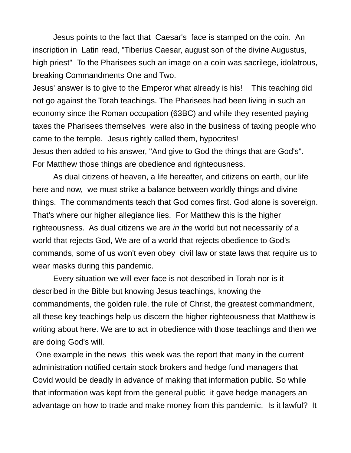Jesus points to the fact that Caesar's face is stamped on the coin. An inscription in Latin read, "Tiberius Caesar, august son of the divine Augustus, high priest" To the Pharisees such an image on a coin was sacrilege, idolatrous, breaking Commandments One and Two.

Jesus' answer is to give to the Emperor what already is his! This teaching did not go against the Torah teachings. The Pharisees had been living in such an economy since the Roman occupation (63BC) and while they resented paying taxes the Pharisees themselves were also in the business of taxing people who came to the temple. Jesus rightly called them, hypocrites! Jesus then added to his answer, "And give to God the things that are God's". For Matthew those things are obedience and righteousness.

As dual citizens of heaven, a life hereafter, and citizens on earth, our life here and now, we must strike a balance between worldly things and divine things. The commandments teach that God comes first. God alone is sovereign. That's where our higher allegiance lies. For Matthew this is the higher righteousness. As dual citizens we are *in* the world but not necessarily *of* a world that rejects God, We are of a world that rejects obedience to God's commands, some of us won't even obey civil law or state laws that require us to wear masks during this pandemic.

Every situation we will ever face is not described in Torah nor is it described in the Bible but knowing Jesus teachings, knowing the commandments, the golden rule, the rule of Christ, the greatest commandment, all these key teachings help us discern the higher righteousness that Matthew is writing about here. We are to act in obedience with those teachings and then we are doing God's will.

One example in the news this week was the report that many in the current administration notified certain stock brokers and hedge fund managers that Covid would be deadly in advance of making that information public. So while that information was kept from the general public it gave hedge managers an advantage on how to trade and make money from this pandemic. Is it lawful? It